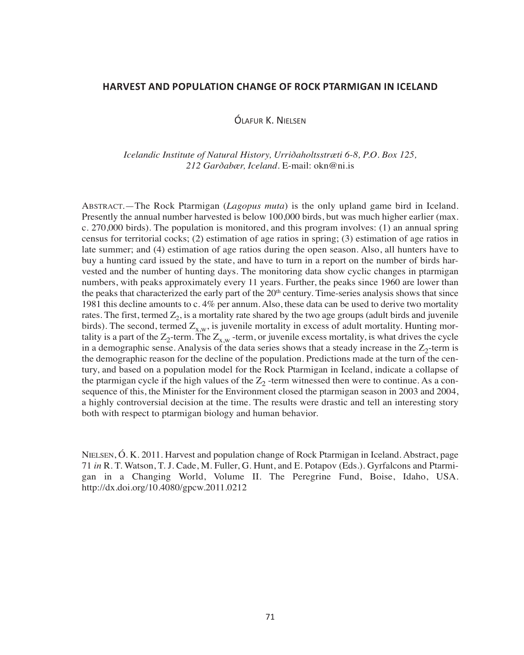## **HARVEST AND POPULATION CHANGE OF ROCK PTARMIGAN IN ICELAND**

ÓLAFUR K. NIELSEN

*Icelandic Institute of Natural History, Urriðaholtsstræti 6-8, P.O. Box 125, 212 Garðabær, Iceland.* E-mail: okn@ni.is

ABSTRACT.—The Rock Ptarmigan (*Lagopus muta*) is the only upland game bird in Iceland. Presently the annual number harvested is below 100,000 birds, but was much higher earlier (max. c. 270,000 birds). The population is monitored, and this program involves: (1) an annual spring census for territorial cocks; (2) estimation of age ratios in spring; (3) estimation of age ratios in late summer; and (4) estimation of age ratios during the open season. Also, all hunters have to buy a hunting card issued by the state, and have to turn in a report on the number of birds harvested and the number of hunting days. The monitoring data show cyclic changes in ptarmigan numbers, with peaks approximately every 11 years. Further, the peaks since 1960 are lower than the peaks that characterized the early part of the  $20<sup>th</sup>$  century. Time-series analysis shows that since 1981 this decline amounts to c. 4% per annum. Also, these data can be used to derive two mortality rates. The first, termed  $Z_2$ , is a mortality rate shared by the two age groups (adult birds and juvenile birds). The second, termed  $Z_{x,w}$ , is juvenile mortality in excess of adult mortality. Hunting mortality is a part of the  $Z_2$ -term. The  $Z_{x,w}$ -term, or juvenile excess mortality, is what drives the cycle in a demographic sense. Analysis of the data series shows that a steady increase in the  $Z_2$ -term is the demographic reason for the decline of the population. Predictions made at the turn of the century, and based on a population model for the Rock Ptarmigan in Iceland, indicate a collapse of the ptarmigan cycle if the high values of the  $Z_2$ -term witnessed then were to continue. As a consequence of this, the Minister for the Environment closed the ptarmigan season in 2003 and 2004, a highly controversial decision at the time. The results were drastic and tell an interesting story both with respect to ptarmigan biology and human behavior.

NIELSEN, Ó. K. 2011. Harvest and population change of Rock Ptarmigan in Iceland. Abstract, page 71 *in* R. T. Watson, T. J. Cade, M. Fuller, G. Hunt, and E. Potapov (Eds.). Gyrfalcons and Ptarmigan in a Changing World, Volume II. The Peregrine Fund, Boise, Idaho, USA. http://dx.doi.org/10.4080/gpcw.2011.0212